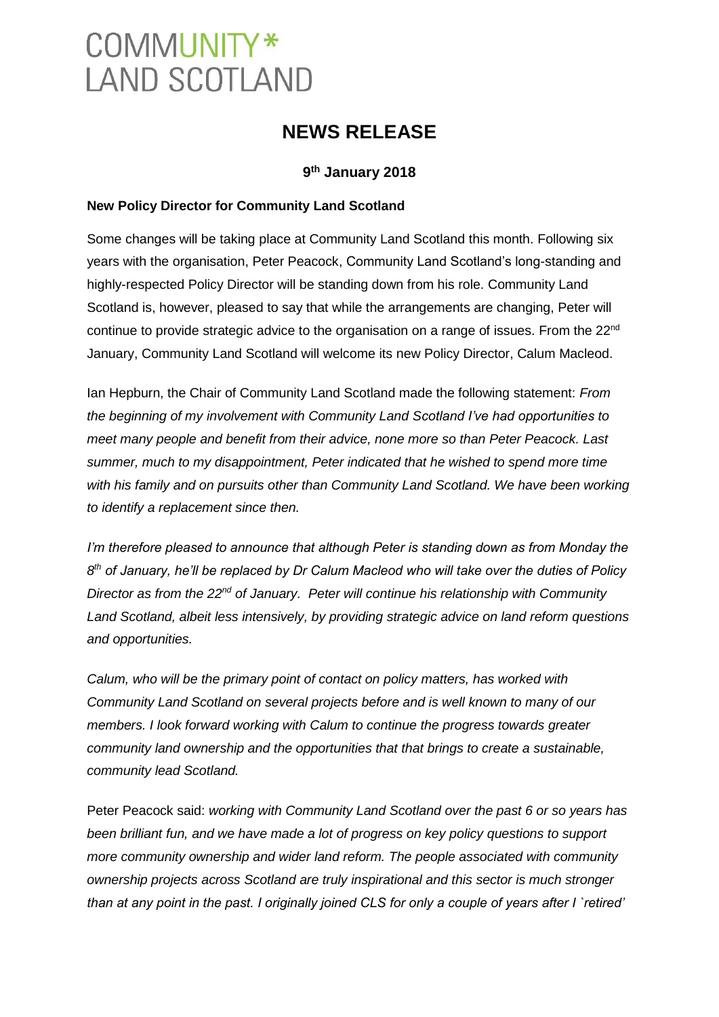# COMMUNITY\* **LAND SCOTLAND**

## **NEWS RELEASE**

### **9 th January 2018**

#### **New Policy Director for Community Land Scotland**

Some changes will be taking place at Community Land Scotland this month. Following six years with the organisation, Peter Peacock, Community Land Scotland's long-standing and highly-respected Policy Director will be standing down from his role. Community Land Scotland is, however, pleased to say that while the arrangements are changing, Peter will continue to provide strategic advice to the organisation on a range of issues. From the 22<sup>nd</sup> January, Community Land Scotland will welcome its new Policy Director, Calum Macleod.

Ian Hepburn, the Chair of Community Land Scotland made the following statement: *From the beginning of my involvement with Community Land Scotland I've had opportunities to meet many people and benefit from their advice, none more so than Peter Peacock. Last summer, much to my disappointment, Peter indicated that he wished to spend more time with his family and on pursuits other than Community Land Scotland. We have been working to identify a replacement since then.*

*I'm therefore pleased to announce that although Peter is standing down as from Monday the*   $8<sup>th</sup>$  of January, he'll be replaced by Dr Calum Macleod who will take over the duties of Policy *Director as from the 22nd of January. Peter will continue his relationship with Community Land Scotland, albeit less intensively, by providing strategic advice on land reform questions and opportunities.* 

*Calum, who will be the primary point of contact on policy matters, has worked with Community Land Scotland on several projects before and is well known to many of our members. I look forward working with Calum to continue the progress towards greater community land ownership and the opportunities that that brings to create a sustainable, community lead Scotland.*

Peter Peacock said: *working with Community Land Scotland over the past 6 or so years has been brilliant fun, and we have made a lot of progress on key policy questions to support more community ownership and wider land reform. The people associated with community ownership projects across Scotland are truly inspirational and this sector is much stronger than at any point in the past. I originally joined CLS for only a couple of years after I `retired'*